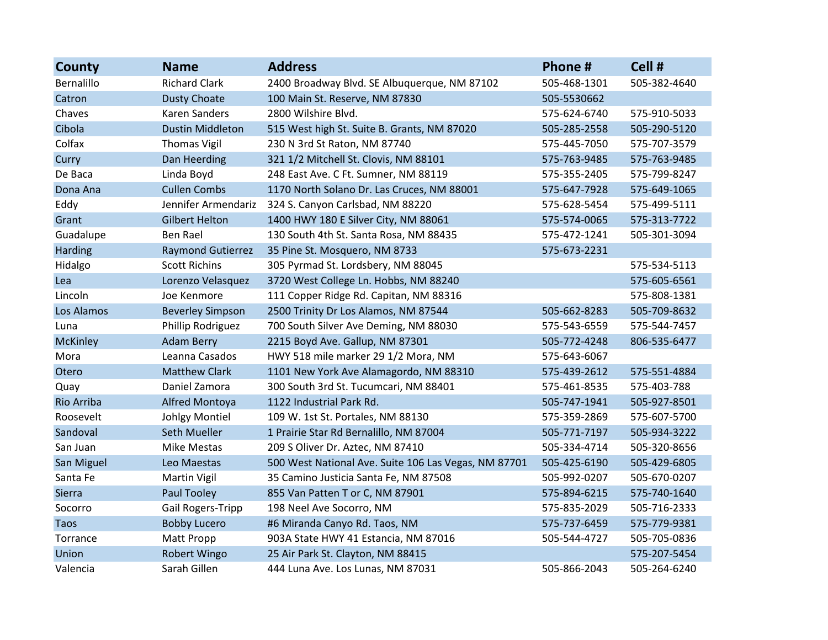| <b>County</b>   | <b>Name</b>              | <b>Address</b>                                       | Phone#       | Cell #       |
|-----------------|--------------------------|------------------------------------------------------|--------------|--------------|
| Bernalillo      | <b>Richard Clark</b>     | 2400 Broadway Blvd. SE Albuquerque, NM 87102         | 505-468-1301 | 505-382-4640 |
| Catron          | <b>Dusty Choate</b>      | 100 Main St. Reserve, NM 87830                       | 505-5530662  |              |
| Chaves          | <b>Karen Sanders</b>     | 2800 Wilshire Blvd.                                  | 575-624-6740 | 575-910-5033 |
| Cibola          | <b>Dustin Middleton</b>  | 515 West high St. Suite B. Grants, NM 87020          | 505-285-2558 | 505-290-5120 |
| Colfax          | <b>Thomas Vigil</b>      | 230 N 3rd St Raton, NM 87740                         | 575-445-7050 | 575-707-3579 |
| Curry           | Dan Heerding             | 321 1/2 Mitchell St. Clovis, NM 88101                | 575-763-9485 | 575-763-9485 |
| De Baca         | Linda Boyd               | 248 East Ave. C Ft. Sumner, NM 88119                 | 575-355-2405 | 575-799-8247 |
| Dona Ana        | <b>Cullen Combs</b>      | 1170 North Solano Dr. Las Cruces, NM 88001           | 575-647-7928 | 575-649-1065 |
| Eddy            | Jennifer Armendariz      | 324 S. Canyon Carlsbad, NM 88220                     | 575-628-5454 | 575-499-5111 |
| Grant           | <b>Gilbert Helton</b>    | 1400 HWY 180 E Silver City, NM 88061                 | 575-574-0065 | 575-313-7722 |
| Guadalupe       | <b>Ben Rael</b>          | 130 South 4th St. Santa Rosa, NM 88435               | 575-472-1241 | 505-301-3094 |
| Harding         | <b>Raymond Gutierrez</b> | 35 Pine St. Mosquero, NM 8733                        | 575-673-2231 |              |
| Hidalgo         | <b>Scott Richins</b>     | 305 Pyrmad St. Lordsbery, NM 88045                   |              | 575-534-5113 |
| Lea             | Lorenzo Velasquez        | 3720 West College Ln. Hobbs, NM 88240                |              | 575-605-6561 |
| Lincoln         | Joe Kenmore              | 111 Copper Ridge Rd. Capitan, NM 88316               |              | 575-808-1381 |
| Los Alamos      | <b>Beverley Simpson</b>  | 2500 Trinity Dr Los Alamos, NM 87544                 | 505-662-8283 | 505-709-8632 |
| Luna            | Phillip Rodriguez        | 700 South Silver Ave Deming, NM 88030                | 575-543-6559 | 575-544-7457 |
| <b>McKinley</b> | <b>Adam Berry</b>        | 2215 Boyd Ave. Gallup, NM 87301                      | 505-772-4248 | 806-535-6477 |
| Mora            | Leanna Casados           | HWY 518 mile marker 29 1/2 Mora, NM                  | 575-643-6067 |              |
| Otero           | <b>Matthew Clark</b>     | 1101 New York Ave Alamagordo, NM 88310               | 575-439-2612 | 575-551-4884 |
| Quay            | Daniel Zamora            | 300 South 3rd St. Tucumcari, NM 88401                | 575-461-8535 | 575-403-788  |
| Rio Arriba      | Alfred Montoya           | 1122 Industrial Park Rd.                             | 505-747-1941 | 505-927-8501 |
| Roosevelt       | Johlgy Montiel           | 109 W. 1st St. Portales, NM 88130                    | 575-359-2869 | 575-607-5700 |
| Sandoval        | Seth Mueller             | 1 Prairie Star Rd Bernalillo, NM 87004               | 505-771-7197 | 505-934-3222 |
| San Juan        | <b>Mike Mestas</b>       | 209 S Oliver Dr. Aztec, NM 87410                     | 505-334-4714 | 505-320-8656 |
| San Miguel      | Leo Maestas              | 500 West National Ave. Suite 106 Las Vegas, NM 87701 | 505-425-6190 | 505-429-6805 |
| Santa Fe        | Martin Vigil             | 35 Camino Justicia Santa Fe, NM 87508                | 505-992-0207 | 505-670-0207 |
| <b>Sierra</b>   | Paul Tooley              | 855 Van Patten T or C, NM 87901                      | 575-894-6215 | 575-740-1640 |
| Socorro         | Gail Rogers-Tripp        | 198 Neel Ave Socorro, NM                             | 575-835-2029 | 505-716-2333 |
| <b>Taos</b>     | <b>Bobby Lucero</b>      | #6 Miranda Canyo Rd. Taos, NM                        | 575-737-6459 | 575-779-9381 |
| Torrance        | <b>Matt Propp</b>        | 903A State HWY 41 Estancia, NM 87016                 | 505-544-4727 | 505-705-0836 |
| Union           | Robert Wingo             | 25 Air Park St. Clayton, NM 88415                    |              | 575-207-5454 |
| Valencia        | Sarah Gillen             | 444 Luna Ave. Los Lunas, NM 87031                    | 505-866-2043 | 505-264-6240 |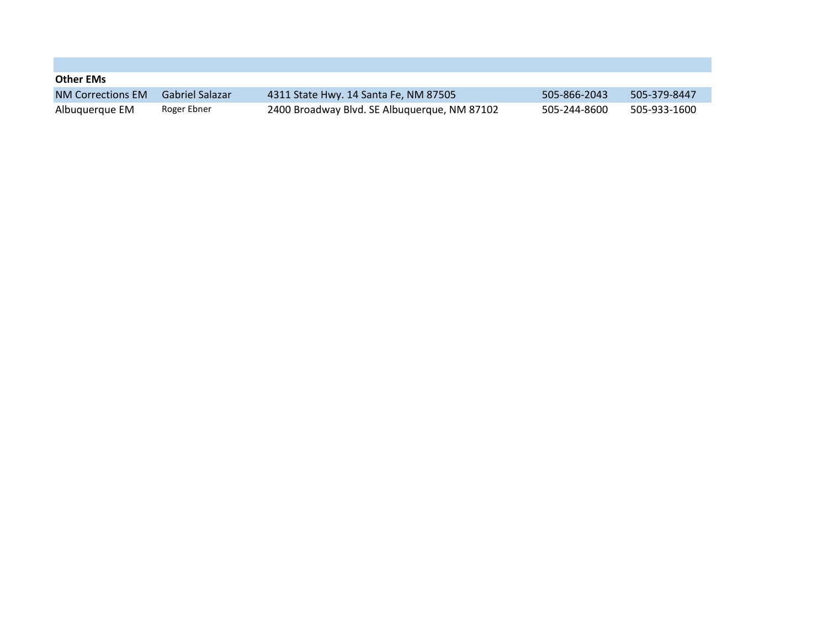| <b>Other EMs</b>         |                   |                                              |              |              |
|--------------------------|-------------------|----------------------------------------------|--------------|--------------|
| <b>NM Corrections EM</b> | - Gabriel Salazar | 4311 State Hwy. 14 Santa Fe, NM 87505        | 505-866-2043 | 505-379-8447 |
| Albuquerque EM           | Roger Ebner       | 2400 Broadway Blvd. SE Albuguergue, NM 87102 | 505-244-8600 | 505-933-1600 |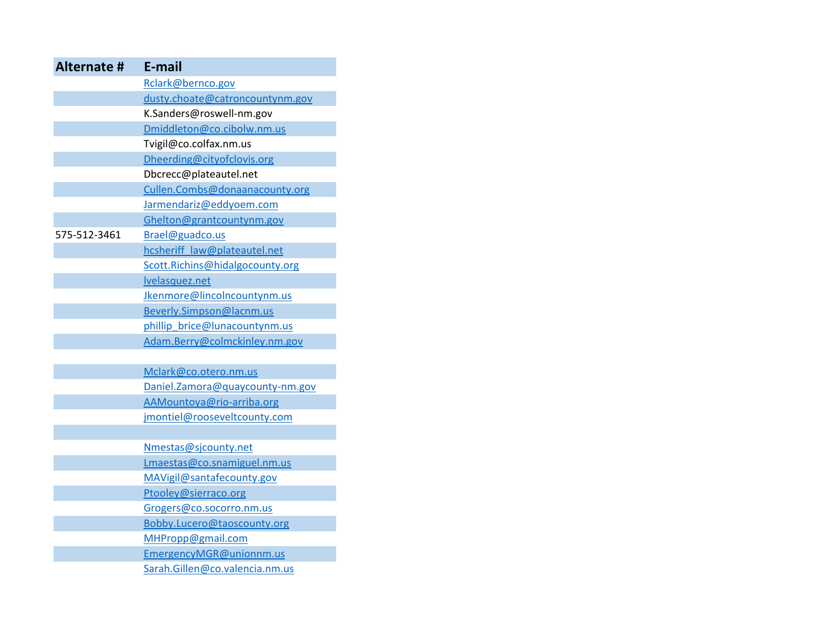| <b>Alternate #</b> | E-mail                          |
|--------------------|---------------------------------|
|                    | Rclark@bernco.gov               |
|                    | dusty.choate@catroncountynm.gov |
|                    | K.Sanders@roswell-nm.gov        |
|                    | Dmiddleton@co.cibolw.nm.us      |
|                    | Tvigil@co.colfax.nm.us          |
|                    | Dheerding@cityofclovis.org      |
|                    | Dbcrecc@plateautel.net          |
|                    | Cullen.Combs@donaanacounty.org  |
|                    | Jarmendariz@eddyoem.com         |
|                    | Ghelton@grantcountynm.gov       |
| 575-512-3461       | Brael@guadco.us                 |
|                    | hcsheriff law@plateautel.net    |
|                    | Scott.Richins@hidalgocounty.org |
|                    | <b>Ivelasquez.net</b>           |
|                    | Jkenmore@lincolncountynm.us     |
|                    | Beverly.Simpson@lacnm.us        |
|                    | phillip brice@lunacountynm.us   |
|                    | Adam.Berry@colmckinley.nm.gov   |
|                    |                                 |
|                    | Mclark@co.otero.nm.us           |
|                    | Daniel.Zamora@quaycounty-nm.gov |
|                    | AAMountoya@rio-arriba.org       |
|                    | jmontiel@rooseveltcounty.com    |
|                    |                                 |
|                    | Nmestas@sjcounty.net            |
|                    | Lmaestas@co.snamiguel.nm.us     |
|                    | MAVigil@santafecounty.gov       |
|                    | Ptooley@sierraco.org            |
|                    | Grogers@co.socorro.nm.us        |
|                    | Bobby.Lucero@taoscounty.org     |
|                    | MHPropp@gmail.com               |
|                    | EmergencyMGR@unionnm.us         |
|                    | Sarah.Gillen@co.valencia.nm.us  |